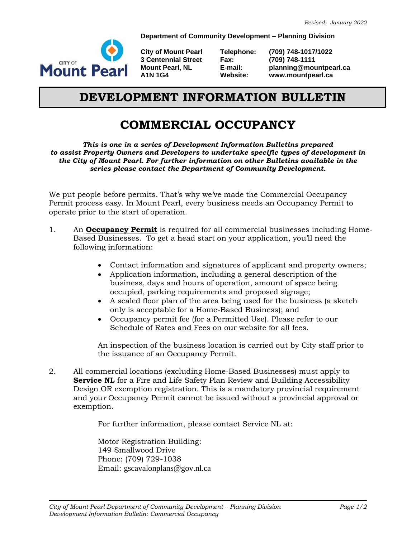**Department of Community Development – Planning Division**



**3 Centennial Street Fax:** 

**City of Mount Pearl Telephone: (709) 748-1017/1022 Mount Pearl, NL E-mail: planning@mountpearl.ca A1N 1G4 Website: www.mountpearl.ca**

## **DEVELOPMENT INFORMATION BULLETIN**

## **COMMERCIAL OCCUPANCY**

*This is one in a series of Development Information Bulletins prepared to assist Property Owners and Developers to undertake specific types of development in the City of Mount Pearl. For further information on other Bulletins available in the series please contact the Department of Community Development.*

We put people before permits. That's why we've made the Commercial Occupancy Permit process easy. In Mount Pearl, every business needs an Occupancy Permit to operate prior to the start of operation.

- 1. An **Occupancy Permit** is required for all commercial businesses including Home-Based Businesses. To get a head start on your application, you'll need the following information:
	- Contact information and signatures of applicant and property owners;
	- Application information, including a general description of the business, days and hours of operation, amount of space being occupied, parking requirements and proposed signage;
	- A scaled floor plan of the area being used for the business (a sketch only is acceptable for a Home-Based Business); and
	- Occupancy permit fee (for a Permitted Use). Please refer to our Schedule of Rates and Fees on our website for all fees.

An inspection of the business location is carried out by City staff prior to the issuance of an Occupancy Permit.

2. All commercial locations (excluding Home-Based Businesses) must apply to **Service NL** for a Fire and Life Safety Plan Review and Building Accessibility Design OR exemption registration. This is a mandatory provincial requirement and you*r* Occupancy Permit cannot be issued without a provincial approval or exemption.

For further information, please contact Service NL at:

Motor Registration Building: 149 Smallwood Drive Phone: (709) 729-1038 Email: gscavalonplans@gov.nl.ca